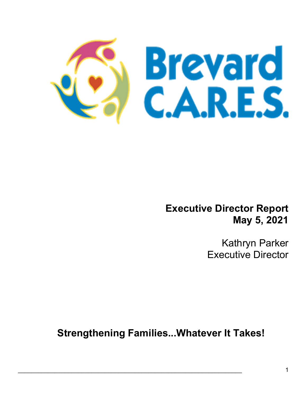

Executive Director Report May 5, 2021

> Kathryn Parker Executive Director

Strengthening Families...Whatever It Takes!

 $\mathcal{L}_\mathcal{L} = \mathcal{L}_\mathcal{L} = \mathcal{L}_\mathcal{L} = \mathcal{L}_\mathcal{L} = \mathcal{L}_\mathcal{L} = \mathcal{L}_\mathcal{L} = \mathcal{L}_\mathcal{L} = \mathcal{L}_\mathcal{L} = \mathcal{L}_\mathcal{L} = \mathcal{L}_\mathcal{L} = \mathcal{L}_\mathcal{L} = \mathcal{L}_\mathcal{L} = \mathcal{L}_\mathcal{L} = \mathcal{L}_\mathcal{L} = \mathcal{L}_\mathcal{L} = \mathcal{L}_\mathcal{L} = \mathcal{L}_\mathcal{L}$ 

Ξ